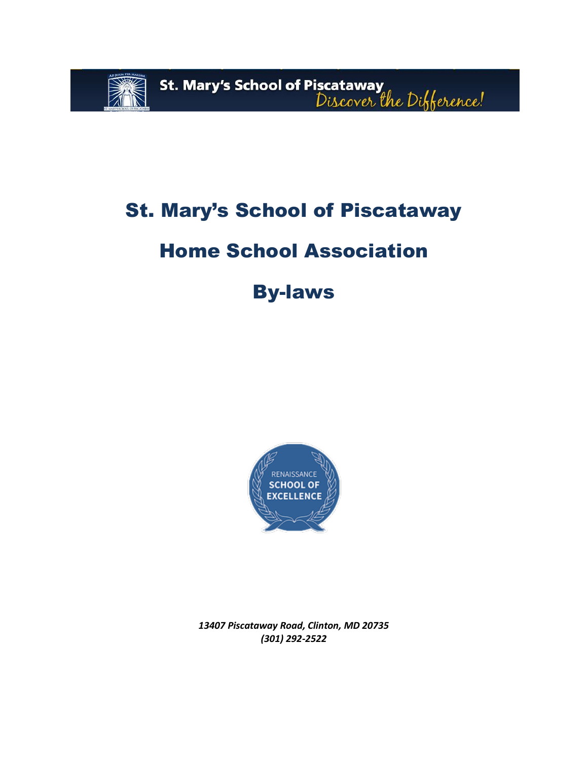

# St. Mary's School of Piscataway

# Home School Association

# By-laws



*13407 Piscataway Road, Clinton, MD 20735 (301) 292-2522*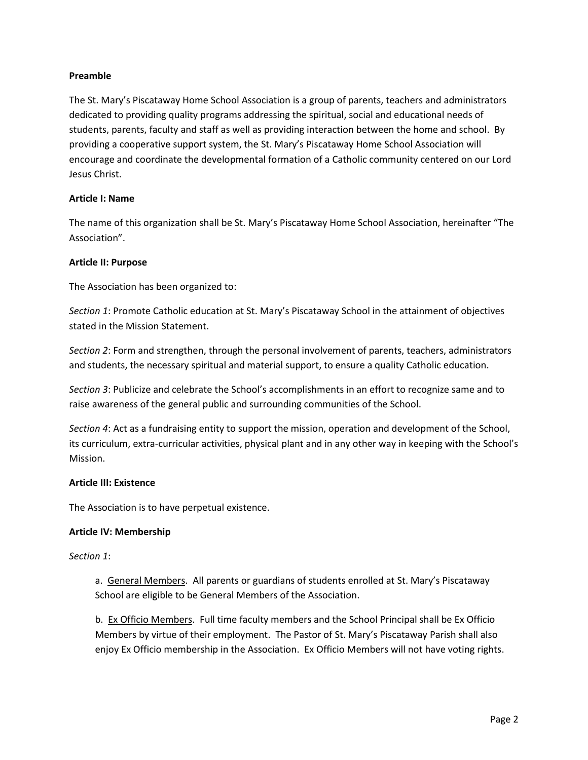### **Preamble**

The St. Mary's Piscataway Home School Association is a group of parents, teachers and administrators dedicated to providing quality programs addressing the spiritual, social and educational needs of students, parents, faculty and staff as well as providing interaction between the home and school. By providing a cooperative support system, the St. Mary's Piscataway Home School Association will encourage and coordinate the developmental formation of a Catholic community centered on our Lord Jesus Christ.

# **Article I: Name**

The name of this organization shall be St. Mary's Piscataway Home School Association, hereinafter "The Association".

# **Article II: Purpose**

The Association has been organized to:

*Section 1*: Promote Catholic education at St. Mary's Piscataway School in the attainment of objectives stated in the Mission Statement.

*Section 2*: Form and strengthen, through the personal involvement of parents, teachers, administrators and students, the necessary spiritual and material support, to ensure a quality Catholic education.

*Section 3*: Publicize and celebrate the School's accomplishments in an effort to recognize same and to raise awareness of the general public and surrounding communities of the School.

*Section 4*: Act as a fundraising entity to support the mission, operation and development of the School, its curriculum, extra-curricular activities, physical plant and in any other way in keeping with the School's Mission.

### **Article III: Existence**

The Association is to have perpetual existence.

### **Article IV: Membership**

### *Section 1*:

a. General Members. All parents or guardians of students enrolled at St. Mary's Piscataway School are eligible to be General Members of the Association.

b. Ex Officio Members. Full time faculty members and the School Principal shall be Ex Officio Members by virtue of their employment. The Pastor of St. Mary's Piscataway Parish shall also enjoy Ex Officio membership in the Association. Ex Officio Members will not have voting rights.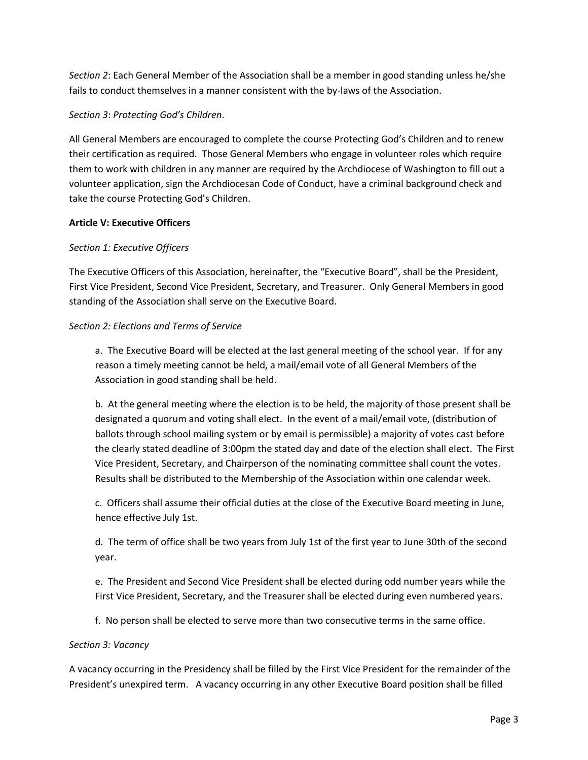*Section 2*: Each General Member of the Association shall be a member in good standing unless he/she fails to conduct themselves in a manner consistent with the by-laws of the Association.

#### *Section 3*: *Protecting God's Children*.

All General Members are encouraged to complete the course Protecting God's Children and to renew their certification as required. Those General Members who engage in volunteer roles which require them to work with children in any manner are required by the Archdiocese of Washington to fill out a volunteer application, sign the Archdiocesan Code of Conduct, have a criminal background check and take the course Protecting God's Children.

#### **Article V: Executive Officers**

#### *Section 1: Executive Officers*

The Executive Officers of this Association, hereinafter, the "Executive Board", shall be the President, First Vice President, Second Vice President, Secretary, and Treasurer. Only General Members in good standing of the Association shall serve on the Executive Board.

#### *Section 2: Elections and Terms of Service*

a. The Executive Board will be elected at the last general meeting of the school year. If for any reason a timely meeting cannot be held, a mail/email vote of all General Members of the Association in good standing shall be held.

b. At the general meeting where the election is to be held, the majority of those present shall be designated a quorum and voting shall elect. In the event of a mail/email vote, (distribution of ballots through school mailing system or by email is permissible) a majority of votes cast before the clearly stated deadline of 3:00pm the stated day and date of the election shall elect. The First Vice President, Secretary, and Chairperson of the nominating committee shall count the votes. Results shall be distributed to the Membership of the Association within one calendar week.

c. Officers shall assume their official duties at the close of the Executive Board meeting in June, hence effective July 1st.

d. The term of office shall be two years from July 1st of the first year to June 30th of the second year.

e. The President and Second Vice President shall be elected during odd number years while the First Vice President, Secretary, and the Treasurer shall be elected during even numbered years.

f. No person shall be elected to serve more than two consecutive terms in the same office.

#### *Section 3: Vacancy*

A vacancy occurring in the Presidency shall be filled by the First Vice President for the remainder of the President's unexpired term. A vacancy occurring in any other Executive Board position shall be filled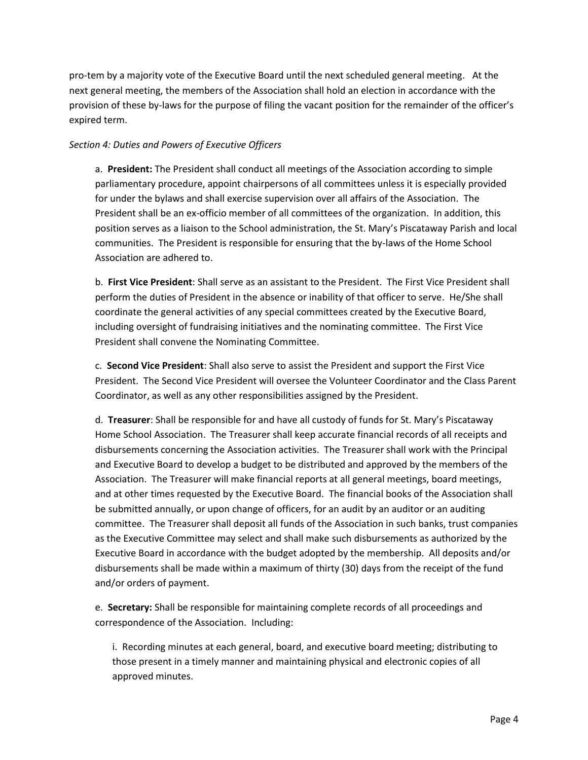pro-tem by a majority vote of the Executive Board until the next scheduled general meeting. At the next general meeting, the members of the Association shall hold an election in accordance with the provision of these by-laws for the purpose of filing the vacant position for the remainder of the officer's expired term.

# *Section 4: Duties and Powers of Executive Officers*

a. **President:** The President shall conduct all meetings of the Association according to simple parliamentary procedure, appoint chairpersons of all committees unless it is especially provided for under the bylaws and shall exercise supervision over all affairs of the Association. The President shall be an ex-officio member of all committees of the organization. In addition, this position serves as a liaison to the School administration, the St. Mary's Piscataway Parish and local communities. The President is responsible for ensuring that the by-laws of the Home School Association are adhered to.

b. **First Vice President**: Shall serve as an assistant to the President. The First Vice President shall perform the duties of President in the absence or inability of that officer to serve. He/She shall coordinate the general activities of any special committees created by the Executive Board, including oversight of fundraising initiatives and the nominating committee. The First Vice President shall convene the Nominating Committee.

c. **Second Vice President**: Shall also serve to assist the President and support the First Vice President. The Second Vice President will oversee the Volunteer Coordinator and the Class Parent Coordinator, as well as any other responsibilities assigned by the President.

d. **Treasurer**: Shall be responsible for and have all custody of funds for St. Mary's Piscataway Home School Association. The Treasurer shall keep accurate financial records of all receipts and disbursements concerning the Association activities. The Treasurer shall work with the Principal and Executive Board to develop a budget to be distributed and approved by the members of the Association. The Treasurer will make financial reports at all general meetings, board meetings, and at other times requested by the Executive Board. The financial books of the Association shall be submitted annually, or upon change of officers, for an audit by an auditor or an auditing committee. The Treasurer shall deposit all funds of the Association in such banks, trust companies as the Executive Committee may select and shall make such disbursements as authorized by the Executive Board in accordance with the budget adopted by the membership. All deposits and/or disbursements shall be made within a maximum of thirty (30) days from the receipt of the fund and/or orders of payment.

e. **Secretary:** Shall be responsible for maintaining complete records of all proceedings and correspondence of the Association. Including:

i. Recording minutes at each general, board, and executive board meeting; distributing to those present in a timely manner and maintaining physical and electronic copies of all approved minutes.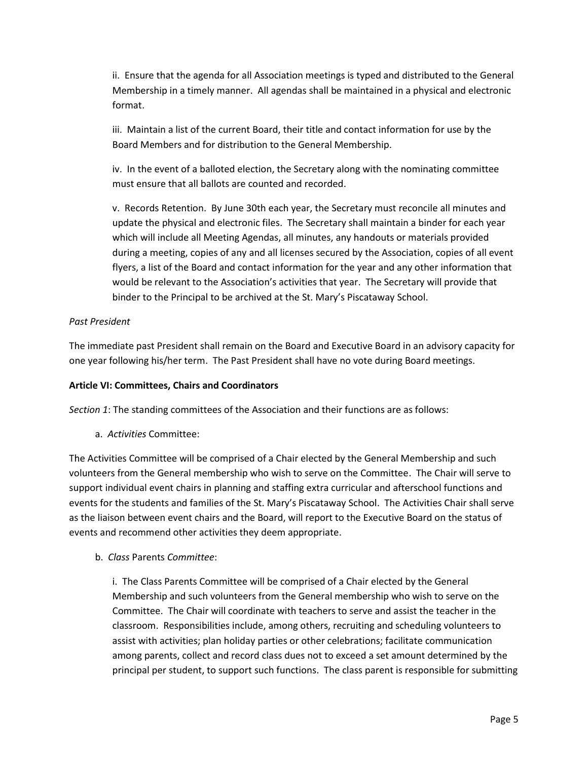ii. Ensure that the agenda for all Association meetings is typed and distributed to the General Membership in a timely manner. All agendas shall be maintained in a physical and electronic format.

iii. Maintain a list of the current Board, their title and contact information for use by the Board Members and for distribution to the General Membership.

iv. In the event of a balloted election, the Secretary along with the nominating committee must ensure that all ballots are counted and recorded.

v. Records Retention. By June 30th each year, the Secretary must reconcile all minutes and update the physical and electronic files. The Secretary shall maintain a binder for each year which will include all Meeting Agendas, all minutes, any handouts or materials provided during a meeting, copies of any and all licenses secured by the Association, copies of all event flyers, a list of the Board and contact information for the year and any other information that would be relevant to the Association's activities that year. The Secretary will provide that binder to the Principal to be archived at the St. Mary's Piscataway School.

# *Past President*

The immediate past President shall remain on the Board and Executive Board in an advisory capacity for one year following his/her term. The Past President shall have no vote during Board meetings.

## **Article VI: Committees, Chairs and Coordinators**

*Section 1*: The standing committees of the Association and their functions are as follows:

a. *Activities* Committee:

The Activities Committee will be comprised of a Chair elected by the General Membership and such volunteers from the General membership who wish to serve on the Committee. The Chair will serve to support individual event chairs in planning and staffing extra curricular and afterschool functions and events for the students and families of the St. Mary's Piscataway School. The Activities Chair shall serve as the liaison between event chairs and the Board, will report to the Executive Board on the status of events and recommend other activities they deem appropriate.

b. *Class* Parents *Committee*:

i. The Class Parents Committee will be comprised of a Chair elected by the General Membership and such volunteers from the General membership who wish to serve on the Committee. The Chair will coordinate with teachers to serve and assist the teacher in the classroom. Responsibilities include, among others, recruiting and scheduling volunteers to assist with activities; plan holiday parties or other celebrations; facilitate communication among parents, collect and record class dues not to exceed a set amount determined by the principal per student, to support such functions. The class parent is responsible for submitting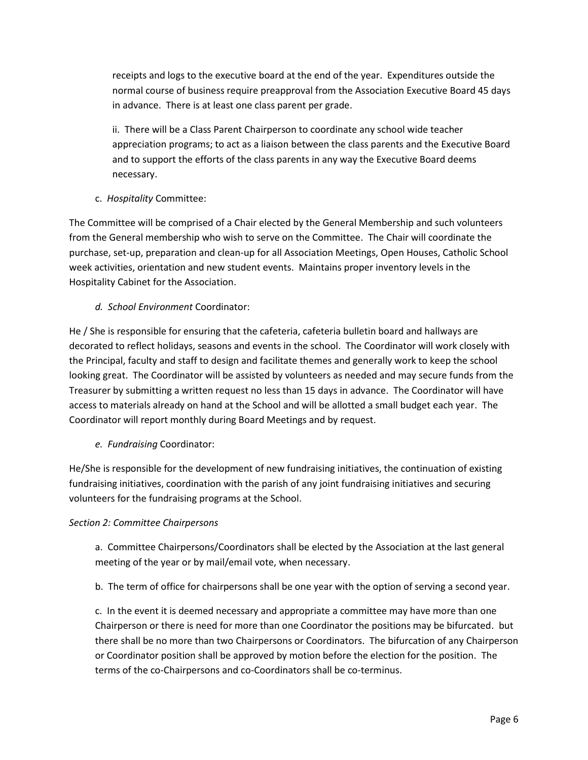receipts and logs to the executive board at the end of the year. Expenditures outside the normal course of business require preapproval from the Association Executive Board 45 days in advance. There is at least one class parent per grade.

ii. There will be a Class Parent Chairperson to coordinate any school wide teacher appreciation programs; to act as a liaison between the class parents and the Executive Board and to support the efforts of the class parents in any way the Executive Board deems necessary.

c. *Hospitality* Committee:

The Committee will be comprised of a Chair elected by the General Membership and such volunteers from the General membership who wish to serve on the Committee. The Chair will coordinate the purchase, set-up, preparation and clean-up for all Association Meetings, Open Houses, Catholic School week activities, orientation and new student events. Maintains proper inventory levels in the Hospitality Cabinet for the Association.

*d. School Environment* Coordinator:

He / She is responsible for ensuring that the cafeteria, cafeteria bulletin board and hallways are decorated to reflect holidays, seasons and events in the school. The Coordinator will work closely with the Principal, faculty and staff to design and facilitate themes and generally work to keep the school looking great. The Coordinator will be assisted by volunteers as needed and may secure funds from the Treasurer by submitting a written request no less than 15 days in advance. The Coordinator will have access to materials already on hand at the School and will be allotted a small budget each year. The Coordinator will report monthly during Board Meetings and by request.

*e. Fundraising* Coordinator:

He/She is responsible for the development of new fundraising initiatives, the continuation of existing fundraising initiatives, coordination with the parish of any joint fundraising initiatives and securing volunteers for the fundraising programs at the School.

### *Section 2: Committee Chairpersons*

a. Committee Chairpersons/Coordinators shall be elected by the Association at the last general meeting of the year or by mail/email vote, when necessary.

b. The term of office for chairpersons shall be one year with the option of serving a second year.

c. In the event it is deemed necessary and appropriate a committee may have more than one Chairperson or there is need for more than one Coordinator the positions may be bifurcated. but there shall be no more than two Chairpersons or Coordinators. The bifurcation of any Chairperson or Coordinator position shall be approved by motion before the election for the position. The terms of the co-Chairpersons and co-Coordinators shall be co-terminus.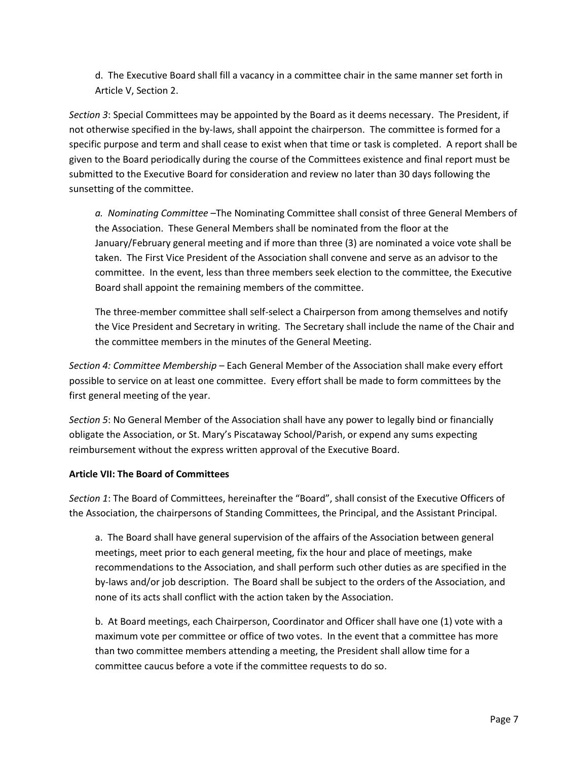d. The Executive Board shall fill a vacancy in a committee chair in the same manner set forth in Article V, Section 2.

*Section 3*: Special Committees may be appointed by the Board as it deems necessary. The President, if not otherwise specified in the by-laws, shall appoint the chairperson. The committee is formed for a specific purpose and term and shall cease to exist when that time or task is completed. A report shall be given to the Board periodically during the course of the Committees existence and final report must be submitted to the Executive Board for consideration and review no later than 30 days following the sunsetting of the committee.

*a. Nominating Committee* –The Nominating Committee shall consist of three General Members of the Association. These General Members shall be nominated from the floor at the January/February general meeting and if more than three (3) are nominated a voice vote shall be taken. The First Vice President of the Association shall convene and serve as an advisor to the committee. In the event, less than three members seek election to the committee, the Executive Board shall appoint the remaining members of the committee.

The three-member committee shall self-select a Chairperson from among themselves and notify the Vice President and Secretary in writing. The Secretary shall include the name of the Chair and the committee members in the minutes of the General Meeting.

*Section 4: Committee Membership* – Each General Member of the Association shall make every effort possible to service on at least one committee. Every effort shall be made to form committees by the first general meeting of the year.

*Section 5*: No General Member of the Association shall have any power to legally bind or financially obligate the Association, or St. Mary's Piscataway School/Parish, or expend any sums expecting reimbursement without the express written approval of the Executive Board.

# **Article VII: The Board of Committees**

*Section 1*: The Board of Committees, hereinafter the "Board", shall consist of the Executive Officers of the Association, the chairpersons of Standing Committees, the Principal, and the Assistant Principal.

a. The Board shall have general supervision of the affairs of the Association between general meetings, meet prior to each general meeting, fix the hour and place of meetings, make recommendations to the Association, and shall perform such other duties as are specified in the by-laws and/or job description. The Board shall be subject to the orders of the Association, and none of its acts shall conflict with the action taken by the Association.

b. At Board meetings, each Chairperson, Coordinator and Officer shall have one (1) vote with a maximum vote per committee or office of two votes. In the event that a committee has more than two committee members attending a meeting, the President shall allow time for a committee caucus before a vote if the committee requests to do so.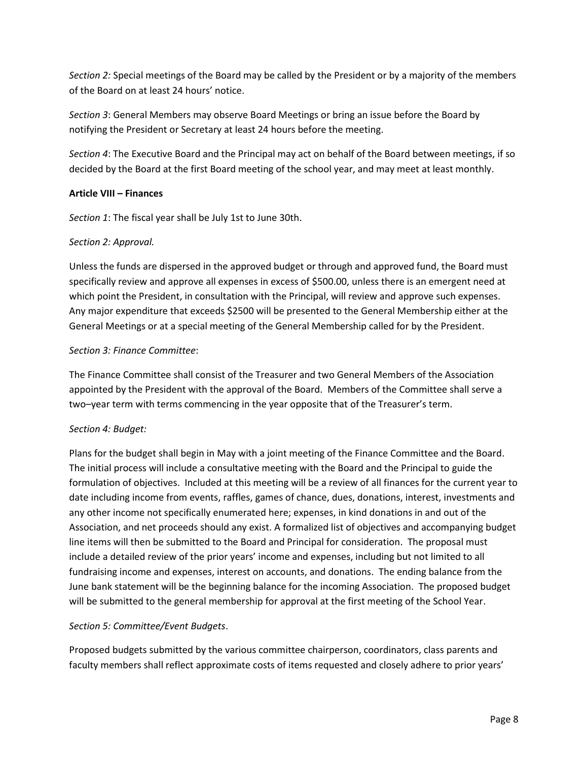*Section 2:* Special meetings of the Board may be called by the President or by a majority of the members of the Board on at least 24 hours' notice.

*Section 3*: General Members may observe Board Meetings or bring an issue before the Board by notifying the President or Secretary at least 24 hours before the meeting.

*Section 4*: The Executive Board and the Principal may act on behalf of the Board between meetings, if so decided by the Board at the first Board meeting of the school year, and may meet at least monthly.

# **Article VIII – Finances**

*Section 1*: The fiscal year shall be July 1st to June 30th.

# *Section 2: Approval.*

Unless the funds are dispersed in the approved budget or through and approved fund, the Board must specifically review and approve all expenses in excess of \$500.00, unless there is an emergent need at which point the President, in consultation with the Principal, will review and approve such expenses. Any major expenditure that exceeds \$2500 will be presented to the General Membership either at the General Meetings or at a special meeting of the General Membership called for by the President.

### *Section 3: Finance Committee*:

The Finance Committee shall consist of the Treasurer and two General Members of the Association appointed by the President with the approval of the Board. Members of the Committee shall serve a two–year term with terms commencing in the year opposite that of the Treasurer's term.

### *Section 4: Budget:*

Plans for the budget shall begin in May with a joint meeting of the Finance Committee and the Board. The initial process will include a consultative meeting with the Board and the Principal to guide the formulation of objectives. Included at this meeting will be a review of all finances for the current year to date including income from events, raffles, games of chance, dues, donations, interest, investments and any other income not specifically enumerated here; expenses, in kind donations in and out of the Association, and net proceeds should any exist. A formalized list of objectives and accompanying budget line items will then be submitted to the Board and Principal for consideration. The proposal must include a detailed review of the prior years' income and expenses, including but not limited to all fundraising income and expenses, interest on accounts, and donations. The ending balance from the June bank statement will be the beginning balance for the incoming Association. The proposed budget will be submitted to the general membership for approval at the first meeting of the School Year.

### *Section 5: Committee/Event Budgets*.

Proposed budgets submitted by the various committee chairperson, coordinators, class parents and faculty members shall reflect approximate costs of items requested and closely adhere to prior years'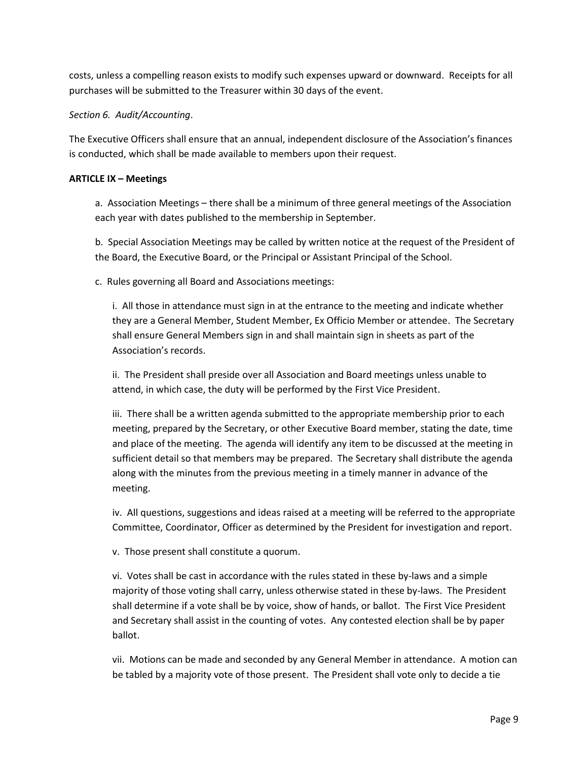costs, unless a compelling reason exists to modify such expenses upward or downward. Receipts for all purchases will be submitted to the Treasurer within 30 days of the event.

## *Section 6. Audit/Accounting*.

The Executive Officers shall ensure that an annual, independent disclosure of the Association's finances is conducted, which shall be made available to members upon their request.

## **ARTICLE IX – Meetings**

a. Association Meetings – there shall be a minimum of three general meetings of the Association each year with dates published to the membership in September.

b. Special Association Meetings may be called by written notice at the request of the President of the Board, the Executive Board, or the Principal or Assistant Principal of the School.

c. Rules governing all Board and Associations meetings:

i. All those in attendance must sign in at the entrance to the meeting and indicate whether they are a General Member, Student Member, Ex Officio Member or attendee. The Secretary shall ensure General Members sign in and shall maintain sign in sheets as part of the Association's records.

ii. The President shall preside over all Association and Board meetings unless unable to attend, in which case, the duty will be performed by the First Vice President.

iii. There shall be a written agenda submitted to the appropriate membership prior to each meeting, prepared by the Secretary, or other Executive Board member, stating the date, time and place of the meeting. The agenda will identify any item to be discussed at the meeting in sufficient detail so that members may be prepared. The Secretary shall distribute the agenda along with the minutes from the previous meeting in a timely manner in advance of the meeting.

iv. All questions, suggestions and ideas raised at a meeting will be referred to the appropriate Committee, Coordinator, Officer as determined by the President for investigation and report.

v. Those present shall constitute a quorum.

vi. Votes shall be cast in accordance with the rules stated in these by-laws and a simple majority of those voting shall carry, unless otherwise stated in these by-laws. The President shall determine if a vote shall be by voice, show of hands, or ballot. The First Vice President and Secretary shall assist in the counting of votes. Any contested election shall be by paper ballot.

vii. Motions can be made and seconded by any General Member in attendance. A motion can be tabled by a majority vote of those present. The President shall vote only to decide a tie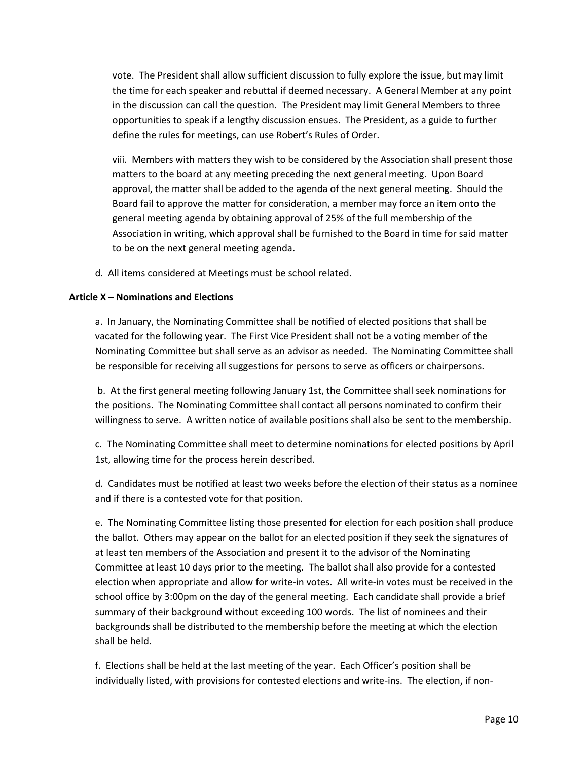vote. The President shall allow sufficient discussion to fully explore the issue, but may limit the time for each speaker and rebuttal if deemed necessary. A General Member at any point in the discussion can call the question. The President may limit General Members to three opportunities to speak if a lengthy discussion ensues. The President, as a guide to further define the rules for meetings, can use Robert's Rules of Order.

viii. Members with matters they wish to be considered by the Association shall present those matters to the board at any meeting preceding the next general meeting. Upon Board approval, the matter shall be added to the agenda of the next general meeting. Should the Board fail to approve the matter for consideration, a member may force an item onto the general meeting agenda by obtaining approval of 25% of the full membership of the Association in writing, which approval shall be furnished to the Board in time for said matter to be on the next general meeting agenda.

d. All items considered at Meetings must be school related.

### **Article X – Nominations and Elections**

a. In January, the Nominating Committee shall be notified of elected positions that shall be vacated for the following year. The First Vice President shall not be a voting member of the Nominating Committee but shall serve as an advisor as needed. The Nominating Committee shall be responsible for receiving all suggestions for persons to serve as officers or chairpersons.

b. At the first general meeting following January 1st, the Committee shall seek nominations for the positions. The Nominating Committee shall contact all persons nominated to confirm their willingness to serve. A written notice of available positions shall also be sent to the membership.

c. The Nominating Committee shall meet to determine nominations for elected positions by April 1st, allowing time for the process herein described.

d. Candidates must be notified at least two weeks before the election of their status as a nominee and if there is a contested vote for that position.

e. The Nominating Committee listing those presented for election for each position shall produce the ballot. Others may appear on the ballot for an elected position if they seek the signatures of at least ten members of the Association and present it to the advisor of the Nominating Committee at least 10 days prior to the meeting. The ballot shall also provide for a contested election when appropriate and allow for write-in votes. All write-in votes must be received in the school office by 3:00pm on the day of the general meeting. Each candidate shall provide a brief summary of their background without exceeding 100 words. The list of nominees and their backgrounds shall be distributed to the membership before the meeting at which the election shall be held.

f. Elections shall be held at the last meeting of the year. Each Officer's position shall be individually listed, with provisions for contested elections and write-ins. The election, if non